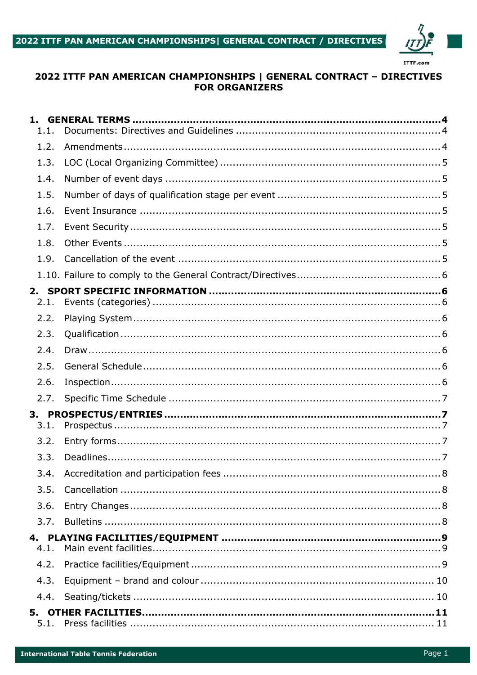

# 2022 ITTF PAN AMERICAN CHAMPIONSHIPS | GENERAL CONTRACT - DIRECTIVES **FOR ORGANIZERS**

| 1.<br>1.1. |  |
|------------|--|
| 1.2.       |  |
| 1.3.       |  |
| 1.4.       |  |
| 1.5.       |  |
| 1.6.       |  |
| 1.7.       |  |
| 1.8.       |  |
| 1.9.       |  |
|            |  |
| 2.<br>2.1. |  |
| 2.2.       |  |
| 2.3.       |  |
| 2.4.       |  |
| 2.5.       |  |
| 2.6.       |  |
| 2.7.       |  |
|            |  |
| 3.1.       |  |
| 3.2.       |  |
| 3.3.       |  |
| 3.4.       |  |
| 3.5.       |  |
| 3.6.       |  |
| 3.7.       |  |
| 4.1.       |  |
| 4.2.       |  |
| 4.3.       |  |
| 4.4.       |  |
| 5.1.       |  |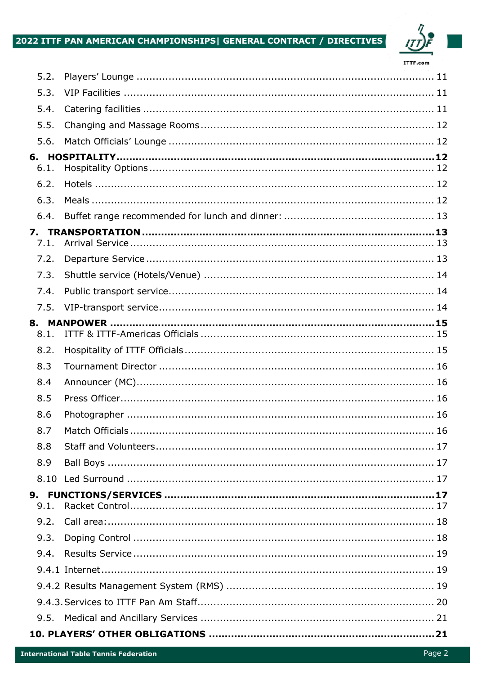# 2022 ITTF PAN AMERICAN CHAMPIONSHIPS| GENERAL CONTRACT / DIRECTIVES



| 5.2. |  |  |  |  |
|------|--|--|--|--|
| 5.3. |  |  |  |  |
| 5.4. |  |  |  |  |
| 5.5. |  |  |  |  |
| 5.6. |  |  |  |  |
|      |  |  |  |  |
| 6.1. |  |  |  |  |
| 6.2. |  |  |  |  |
| 6.3. |  |  |  |  |
| 6.4. |  |  |  |  |
| 7.1. |  |  |  |  |
| 7.2. |  |  |  |  |
| 7.3. |  |  |  |  |
| 7.4. |  |  |  |  |
| 7.5. |  |  |  |  |
| 8.1. |  |  |  |  |
| 8.2. |  |  |  |  |
| 8.3  |  |  |  |  |
| 8.4  |  |  |  |  |
| 8.5  |  |  |  |  |
| 8.6  |  |  |  |  |
| 8.7  |  |  |  |  |
| 8.8  |  |  |  |  |
| 8.9  |  |  |  |  |
| 8.10 |  |  |  |  |
| 9.1. |  |  |  |  |
| 9.2. |  |  |  |  |
| 9.3. |  |  |  |  |
| 9.4. |  |  |  |  |
|      |  |  |  |  |
|      |  |  |  |  |
|      |  |  |  |  |
| 9.5. |  |  |  |  |
|      |  |  |  |  |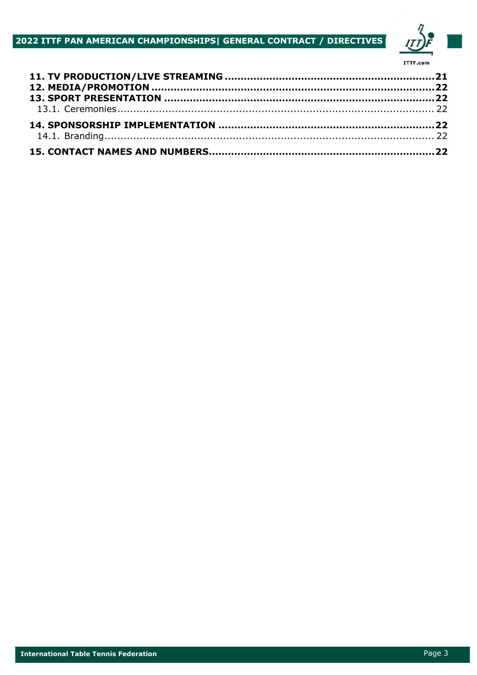# 2022 ITTF PAN AMERICAN CHAMPIONSHIPS| GENERAL CONTRACT / DIRECTIVES

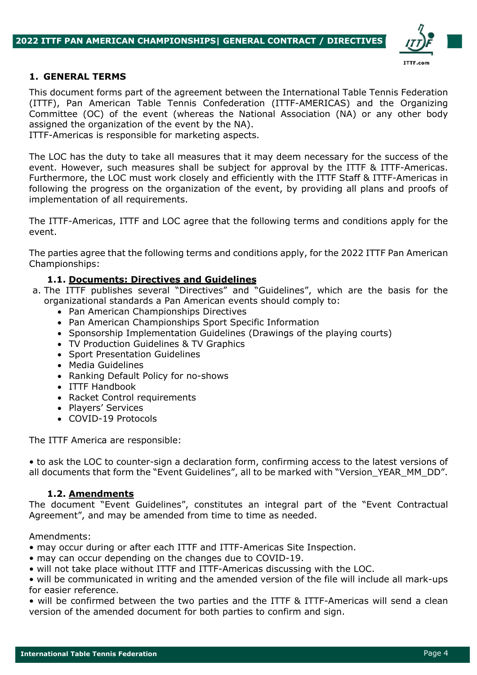

### **1. GENERAL TERMS**

This document forms part of the agreement between the International Table Tennis Federation (ITTF), Pan American Table Tennis Confederation (ITTF-AMERICAS) and the Organizing Committee (OC) of the event (whereas the National Association (NA) or any other body assigned the organization of the event by the NA).

ITTF-Americas is responsible for marketing aspects.

The LOC has the duty to take all measures that it may deem necessary for the success of the event. However, such measures shall be subject for approval by the ITTF & ITTF-Americas. Furthermore, the LOC must work closely and efficiently with the ITTF Staff & ITTF-Americas in following the progress on the organization of the event, by providing all plans and proofs of implementation of all requirements.

The ITTF-Americas, ITTF and LOC agree that the following terms and conditions apply for the event.

The parties agree that the following terms and conditions apply, for the 2022 ITTF Pan American Championships:

## **1.1. Documents: Directives and Guidelines**

- a. The ITTF publishes several "Directives" and "Guidelines", which are the basis for the organizational standards a Pan American events should comply to:
	- Pan American Championships Directives
	- Pan American Championships Sport Specific Information
	- Sponsorship Implementation Guidelines (Drawings of the playing courts)
	- TV Production Guidelines & TV Graphics
	- Sport Presentation Guidelines
	- Media Guidelines
	- Ranking Default Policy for no-shows
	- ITTF Handbook
	- Racket Control requirements
	- Players' Services
	- COVID-19 Protocols

The ITTF America are responsible:

• to ask the LOC to counter-sign a declaration form, confirming access to the latest versions of all documents that form the "Event Guidelines", all to be marked with "Version\_YEAR\_MM\_DD".

### **1.2. Amendments**

The document "Event Guidelines", constitutes an integral part of the "Event Contractual Agreement", and may be amended from time to time as needed.

Amendments:

• may occur during or after each ITTF and ITTF-Americas Site Inspection.

- may can occur depending on the changes due to COVID-19.
- will not take place without ITTF and ITTF-Americas discussing with the LOC.

• will be communicated in writing and the amended version of the file will include all mark-ups for easier reference.

• will be confirmed between the two parties and the ITTF & ITTF-Americas will send a clean version of the amended document for both parties to confirm and sign.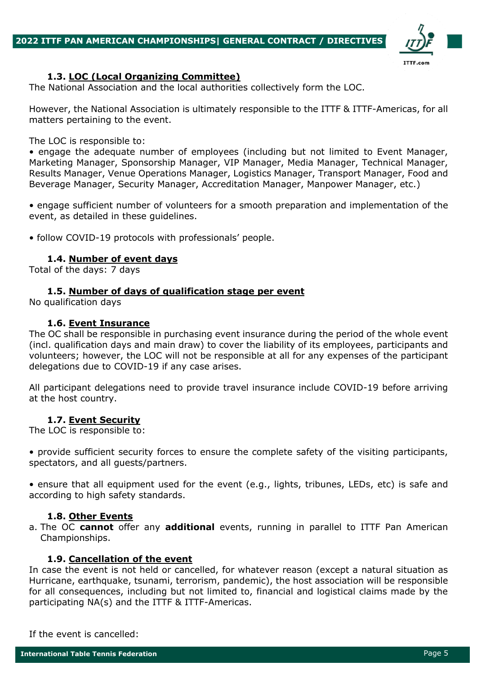

## **1.3. LOC (Local Organizing Committee)**

The National Association and the local authorities collectively form the LOC.

However, the National Association is ultimately responsible to the ITTF & ITTF-Americas, for all matters pertaining to the event.

The LOC is responsible to:

• engage the adequate number of employees (including but not limited to Event Manager, Marketing Manager, Sponsorship Manager, VIP Manager, Media Manager, Technical Manager, Results Manager, Venue Operations Manager, Logistics Manager, Transport Manager, Food and Beverage Manager, Security Manager, Accreditation Manager, Manpower Manager, etc.)

• engage sufficient number of volunteers for a smooth preparation and implementation of the event, as detailed in these guidelines.

• follow COVID-19 protocols with professionals' people.

### **1.4. Number of event days**

Total of the days: 7 days

### **1.5. Number of days of qualification stage per event**

No qualification days

#### **1.6. Event Insurance**

The OC shall be responsible in purchasing event insurance during the period of the whole event (incl. qualification days and main draw) to cover the liability of its employees, participants and volunteers; however, the LOC will not be responsible at all for any expenses of the participant delegations due to COVID-19 if any case arises.

All participant delegations need to provide travel insurance include COVID-19 before arriving at the host country.

### **1.7. Event Security**

The LOC is responsible to:

• provide sufficient security forces to ensure the complete safety of the visiting participants, spectators, and all guests/partners.

• ensure that all equipment used for the event (e.g., lights, tribunes, LEDs, etc) is safe and according to high safety standards.

### **1.8. Other Events**

a. The OC **cannot** offer any **additional** events, running in parallel to ITTF Pan American Championships.

### **1.9. Cancellation of the event**

In case the event is not held or cancelled, for whatever reason (except a natural situation as Hurricane, earthquake, tsunami, terrorism, pandemic), the host association will be responsible for all consequences, including but not limited to, financial and logistical claims made by the participating NA(s) and the ITTF & ITTF-Americas.

If the event is cancelled: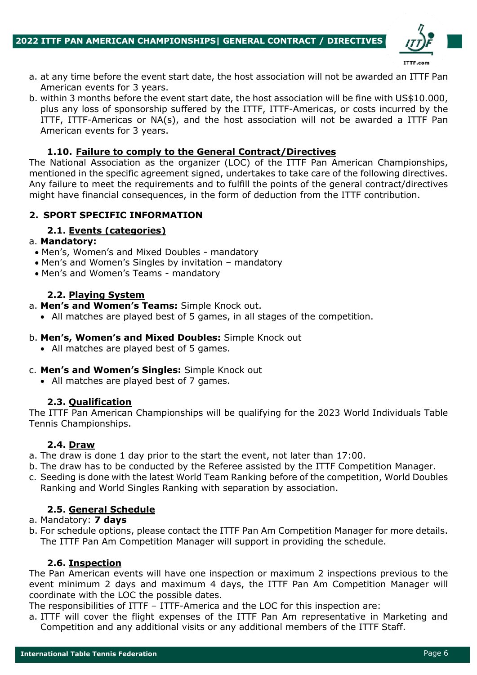

- a. at any time before the event start date, the host association will not be awarded an ITTF Pan American events for 3 years.
- b. within 3 months before the event start date, the host association will be fine with US\$10.000, plus any loss of sponsorship suffered by the ITTF, ITTF-Americas, or costs incurred by the ITTF, ITTF-Americas or NA(s), and the host association will not be awarded a ITTF Pan American events for 3 years.

## **1.10. Failure to comply to the General Contract/Directives**

The National Association as the organizer (LOC) of the ITTF Pan American Championships, mentioned in the specific agreement signed, undertakes to take care of the following directives. Any failure to meet the requirements and to fulfill the points of the general contract/directives might have financial consequences, in the form of deduction from the ITTF contribution.

## **2. SPORT SPECIFIC INFORMATION**

# **2.1. Events (categories)**

### a. **Mandatory:**

- Men's, Women's and Mixed Doubles mandatory
- Men's and Women's Singles by invitation mandatory
- Men's and Women's Teams mandatory

## **2.2. Playing System**

- a. **Men's and Women's Teams:** Simple Knock out.
	- All matches are played best of 5 games, in all stages of the competition.

### b. **Men's, Women's and Mixed Doubles:** Simple Knock out

• All matches are played best of 5 games.

### c. **Men's and Women's Singles:** Simple Knock out

• All matches are played best of 7 games.

### **2.3. Qualification**

The ITTF Pan American Championships will be qualifying for the 2023 World Individuals Table Tennis Championships.

### **2.4. Draw**

- a. The draw is done 1 day prior to the start the event, not later than 17:00.
- b. The draw has to be conducted by the Referee assisted by the ITTF Competition Manager.
- c. Seeding is done with the latest World Team Ranking before of the competition, World Doubles Ranking and World Singles Ranking with separation by association.

## **2.5. General Schedule**

### a. Mandatory: **7 days**

b. For schedule options, please contact the ITTF Pan Am Competition Manager for more details. The ITTF Pan Am Competition Manager will support in providing the schedule.

### **2.6. Inspection**

The Pan American events will have one inspection or maximum 2 inspections previous to the event minimum 2 days and maximum 4 days, the ITTF Pan Am Competition Manager will coordinate with the LOC the possible dates.

The responsibilities of ITTF – ITTF-America and the LOC for this inspection are:

a. ITTF will cover the flight expenses of the ITTF Pan Am representative in Marketing and Competition and any additional visits or any additional members of the ITTF Staff.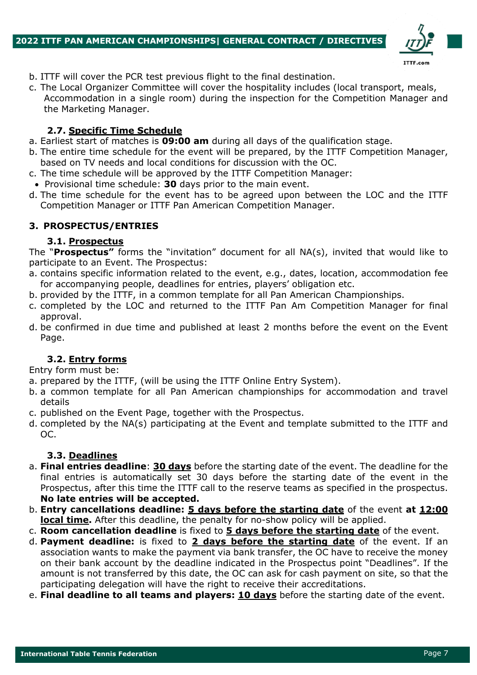

- b. ITTF will cover the PCR test previous flight to the final destination.
- c. The Local Organizer Committee will cover the hospitality includes (local transport, meals, Accommodation in a single room) during the inspection for the Competition Manager and the Marketing Manager.

## **2.7. Specific Time Schedule**

- a. Earliest start of matches is **09:00 am** during all days of the qualification stage.
- b. The entire time schedule for the event will be prepared, by the ITTF Competition Manager, based on TV needs and local conditions for discussion with the OC.
- c. The time schedule will be approved by the ITTF Competition Manager:
- Provisional time schedule: **30** days prior to the main event.
- d. The time schedule for the event has to be agreed upon between the LOC and the ITTF Competition Manager or ITTF Pan American Competition Manager.

# **3. PROSPECTUS/ENTRIES**

## **3.1. Prospectus**

The "**Prospectus"** forms the "invitation" document for all NA(s), invited that would like to participate to an Event. The Prospectus:

- a. contains specific information related to the event, e.g., dates, location, accommodation fee for accompanying people, deadlines for entries, players' obligation etc.
- b. provided by the ITTF, in a common template for all Pan American Championships.
- c. completed by the LOC and returned to the ITTF Pan Am Competition Manager for final approval.
- d. be confirmed in due time and published at least 2 months before the event on the Event Page.

## **3.2. Entry forms**

Entry form must be:

- a. prepared by the ITTF, (will be using the ITTF Online Entry System).
- b. a common template for all Pan American championships for accommodation and travel details
- c. published on the Event Page, together with the Prospectus.
- d. completed by the NA(s) participating at the Event and template submitted to the ITTF and OC.

## **3.3. Deadlines**

- a. **Final entries deadline**: **30 days** before the starting date of the event. The deadline for the final entries is automatically set 30 days before the starting date of the event in the Prospectus, after this time the ITTF call to the reserve teams as specified in the prospectus. **No late entries will be accepted.**
- b. **Entry cancellations deadline: 5 days before the starting date** of the event **at 12:00 local time.** After this deadline, the penalty for no-show policy will be applied.
- c. **Room cancellation deadline** is fixed to **5 days before the starting date** of the event.
- d. **Payment deadline:** is fixed to **2 days before the starting date** of the event. If an association wants to make the payment via bank transfer, the OC have to receive the money on their bank account by the deadline indicated in the Prospectus point "Deadlines". If the amount is not transferred by this date, the OC can ask for cash payment on site, so that the participating delegation will have the right to receive their accreditations.
- e. **Final deadline to all teams and players: 10 days** before the starting date of the event.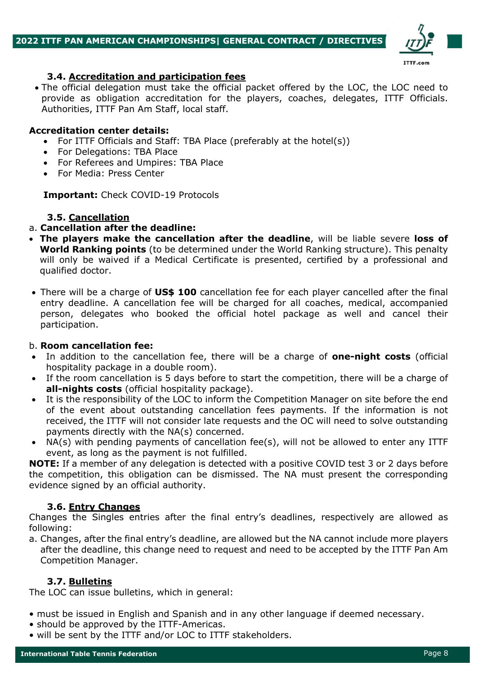

## **3.4. Accreditation and participation fees**

• The official delegation must take the official packet offered by the LOC, the LOC need to provide as obligation accreditation for the players, coaches, delegates, ITTF Officials. Authorities, ITTF Pan Am Staff, local staff.

### **Accreditation center details:**

- For ITTF Officials and Staff: TBA Place (preferably at the hotel(s))
- For Delegations: TBA Place
- For Referees and Umpires: TBA Place
- For Media: Press Center

**Important:** Check COVID-19 Protocols

## **3.5. Cancellation**

### a. **Cancellation after the deadline:**

- **The players make the cancellation after the deadline**, will be liable severe **loss of World Ranking points** (to be determined under the World Ranking structure). This penalty will only be waived if a Medical Certificate is presented, certified by a professional and qualified doctor.
- There will be a charge of **US\$ 100** cancellation fee for each player cancelled after the final entry deadline. A cancellation fee will be charged for all coaches, medical, accompanied person, delegates who booked the official hotel package as well and cancel their participation.

### b. **Room cancellation fee:**

- In addition to the cancellation fee, there will be a charge of **one-night costs** (official hospitality package in a double room).
- If the room cancellation is 5 days before to start the competition, there will be a charge of **all-nights costs** (official hospitality package).
- It is the responsibility of the LOC to inform the Competition Manager on site before the end of the event about outstanding cancellation fees payments. If the information is not received, the ITTF will not consider late requests and the OC will need to solve outstanding payments directly with the NA(s) concerned.
- NA(s) with pending payments of cancellation fee(s), will not be allowed to enter any ITTF event, as long as the payment is not fulfilled.

**NOTE:** If a member of any delegation is detected with a positive COVID test 3 or 2 days before the competition, this obligation can be dismissed. The NA must present the corresponding evidence signed by an official authority.

## **3.6. Entry Changes**

Changes the Singles entries after the final entry's deadlines, respectively are allowed as following:

a. Changes, after the final entry's deadline, are allowed but the NA cannot include more players after the deadline, this change need to request and need to be accepted by the ITTF Pan Am Competition Manager.

## **3.7. Bulletins**

The LOC can issue bulletins, which in general:

- must be issued in English and Spanish and in any other language if deemed necessary.
- should be approved by the ITTF-Americas.
- will be sent by the ITTF and/or LOC to ITTF stakeholders.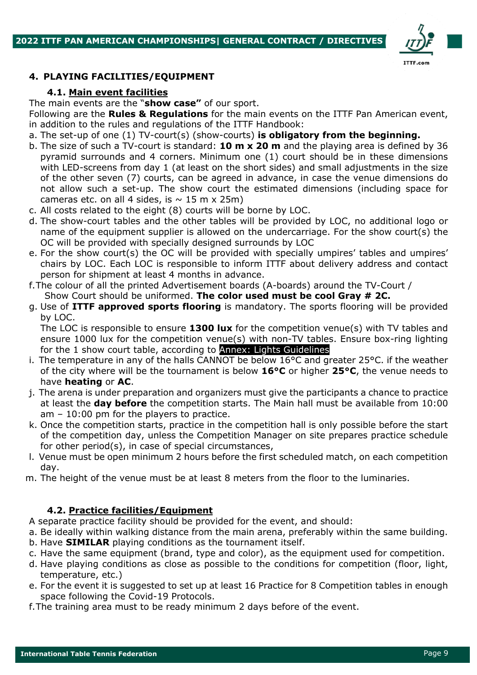

## **4. PLAYING FACILITIES/EQUIPMENT**

## **4.1. Main event facilities**

The main events are the "**show case"** of our sport. Following are the **Rules & Regulations** for the main events on the ITTF Pan American event,

- in addition to the rules and regulations of the ITTF Handbook:
- a. The set-up of one (1) TV-court(s) (show-courts) **is obligatory from the beginning.**
- b. The size of such a TV-court is standard: **10 m x 20 m** and the playing area is defined by 36 pyramid surrounds and 4 corners. Minimum one (1) court should be in these dimensions with LED-screens from day 1 (at least on the short sides) and small adjustments in the size of the other seven (7) courts, can be agreed in advance, in case the venue dimensions do not allow such a set-up. The show court the estimated dimensions (including space for cameras etc. on all 4 sides, is  $\sim$  15 m x 25m)
- c. All costs related to the eight (8) courts will be borne by LOC.
- d. The show-court tables and the other tables will be provided by LOC, no additional logo or name of the equipment supplier is allowed on the undercarriage. For the show court(s) the OC will be provided with specially designed surrounds by LOC
- e. For the show court(s) the OC will be provided with specially umpires' tables and umpires' chairs by LOC. Each LOC is responsible to inform ITTF about delivery address and contact person for shipment at least 4 months in advance.
- f.The colour of all the printed Advertisement boards (A-boards) around the TV-Court / Show Court should be uniformed. **The color used must be cool Gray # 2C.**
- g. Use of **ITTF approved sports flooring** is mandatory. The sports flooring will be provided by LOC.

The LOC is responsible to ensure 1300 lux for the competition venue(s) with TV tables and ensure 1000 lux for the competition venue(s) with non-TV tables. Ensure box-ring lighting for the 1 show court table, according to Annex: Lights Guidelines

- i. The temperature in any of the halls CANNOT be below 16°C and greater 25°C. if the weather of the city where will be the tournament is below **16°C** or higher **25°C**, the venue needs to have **heating** or **AC**.
- j. The arena is under preparation and organizers must give the participants a chance to practice at least the **day before** the competition starts. The Main hall must be available from 10:00 am – 10:00 pm for the players to practice.
- k. Once the competition starts, practice in the competition hall is only possible before the start of the competition day, unless the Competition Manager on site prepares practice schedule for other period(s), in case of special circumstances,
- l. Venue must be open minimum 2 hours before the first scheduled match, on each competition day.
- m. The height of the venue must be at least 8 meters from the floor to the luminaries.

## **4.2. Practice facilities/Equipment**

A separate practice facility should be provided for the event, and should:

- a. Be ideally within walking distance from the main arena, preferably within the same building.
- b. Have **SIMILAR** playing conditions as the tournament itself.
- c. Have the same equipment (brand, type and color), as the equipment used for competition.
- d. Have playing conditions as close as possible to the conditions for competition (floor, light, temperature, etc.)
- e. For the event it is suggested to set up at least 16 Practice for 8 Competition tables in enough space following the Covid-19 Protocols.
- f.The training area must to be ready minimum 2 days before of the event.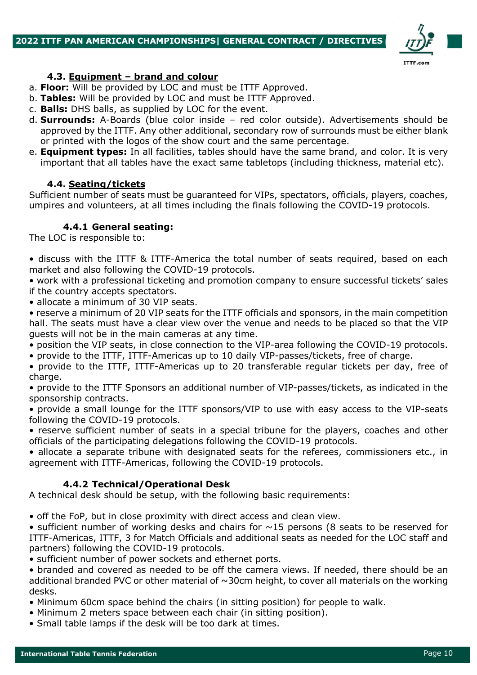### **2022 ITTF PAN AMERICAN CHAMPIONSHIPS| GENERAL CONTRACT / DIRECTIVES**



### **4.3. Equipment – brand and colour**

- a. **Floor:** Will be provided by LOC and must be ITTF Approved.
- b. **Tables:** Will be provided by LOC and must be ITTF Approved.
- c. **Balls:** DHS balls, as supplied by LOC for the event.
- d. **Surrounds:** A-Boards (blue color inside red color outside). Advertisements should be approved by the ITTF. Any other additional, secondary row of surrounds must be either blank or printed with the logos of the show court and the same percentage.
- e. **Equipment types:** In all facilities, tables should have the same brand, and color. It is very important that all tables have the exact same tabletops (including thickness, material etc).

## **4.4. Seating/tickets**

Sufficient number of seats must be guaranteed for VIPs, spectators, officials, players, coaches, umpires and volunteers, at all times including the finals following the COVID-19 protocols.

## **4.4.1 General seating:**

The LOC is responsible to:

• discuss with the ITTF & ITTF-America the total number of seats required, based on each market and also following the COVID-19 protocols.

• work with a professional ticketing and promotion company to ensure successful tickets' sales if the country accepts spectators.

• allocate a minimum of 30 VIP seats.

• reserve a minimum of 20 VIP seats for the ITTF officials and sponsors, in the main competition hall. The seats must have a clear view over the venue and needs to be placed so that the VIP guests will not be in the main cameras at any time.

- position the VIP seats, in close connection to the VIP-area following the COVID-19 protocols.
- provide to the ITTF, ITTF-Americas up to 10 daily VIP-passes/tickets, free of charge.

• provide to the ITTF, ITTF-Americas up to 20 transferable regular tickets per day, free of charge.

• provide to the ITTF Sponsors an additional number of VIP-passes/tickets, as indicated in the sponsorship contracts.

• provide a small lounge for the ITTF sponsors/VIP to use with easy access to the VIP-seats following the COVID-19 protocols.

• reserve sufficient number of seats in a special tribune for the players, coaches and other officials of the participating delegations following the COVID-19 protocols.

• allocate a separate tribune with designated seats for the referees, commissioners etc., in agreement with ITTF-Americas, following the COVID-19 protocols.

## **4.4.2 Technical/Operational Desk**

A technical desk should be setup, with the following basic requirements:

• off the FoP, but in close proximity with direct access and clean view.

• sufficient number of working desks and chairs for  $\sim$ 15 persons (8 seats to be reserved for ITTF-Americas, ITTF, 3 for Match Officials and additional seats as needed for the LOC staff and partners) following the COVID-19 protocols.

• sufficient number of power sockets and ethernet ports.

• branded and covered as needed to be off the camera views. If needed, there should be an additional branded PVC or other material of  $\sim$ 30cm height, to cover all materials on the working desks.

- Minimum 60cm space behind the chairs (in sitting position) for people to walk.
- Minimum 2 meters space between each chair (in sitting position).
- Small table lamps if the desk will be too dark at times.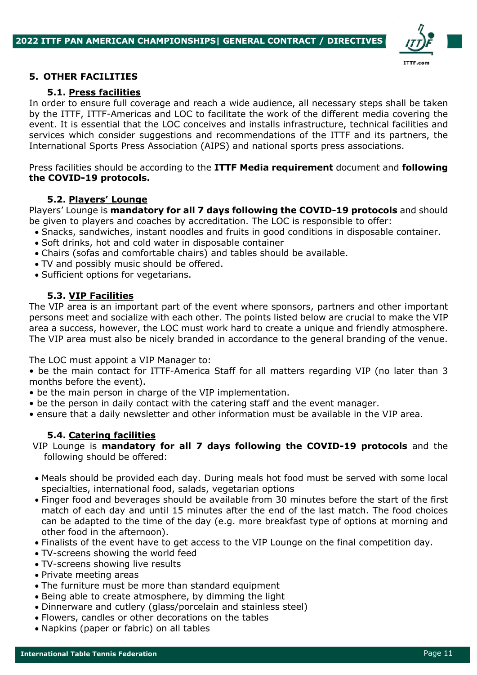

### **5. OTHER FACILITIES**

## **5.1. Press facilities**

In order to ensure full coverage and reach a wide audience, all necessary steps shall be taken by the ITTF, ITTF-Americas and LOC to facilitate the work of the different media covering the event. It is essential that the LOC conceives and installs infrastructure, technical facilities and services which consider suggestions and recommendations of the ITTF and its partners, the International Sports Press Association (AIPS) and national sports press associations.

Press facilities should be according to the **ITTF Media requirement** document and **following the COVID-19 protocols.**

## **5.2. Players' Lounge**

Players' Lounge is **mandatory for all 7 days following the COVID-19 protocols** and should be given to players and coaches by accreditation. The LOC is responsible to offer:

- Snacks, sandwiches, instant noodles and fruits in good conditions in disposable container.
- Soft drinks, hot and cold water in disposable container
- Chairs (sofas and comfortable chairs) and tables should be available.
- TV and possibly music should be offered.
- Sufficient options for vegetarians.

## **5.3. VIP Facilities**

The VIP area is an important part of the event where sponsors, partners and other important persons meet and socialize with each other. The points listed below are crucial to make the VIP area a success, however, the LOC must work hard to create a unique and friendly atmosphere. The VIP area must also be nicely branded in accordance to the general branding of the venue.

The LOC must appoint a VIP Manager to:

• be the main contact for ITTF-America Staff for all matters regarding VIP (no later than 3 months before the event).

- be the main person in charge of the VIP implementation.
- be the person in daily contact with the catering staff and the event manager.
- ensure that a daily newsletter and other information must be available in the VIP area.

### **5.4. Catering facilities**

VIP Lounge is **mandatory for all 7 days following the COVID-19 protocols** and the following should be offered:

- Meals should be provided each day. During meals hot food must be served with some local specialties, international food, salads, vegetarian options
- Finger food and beverages should be available from 30 minutes before the start of the first match of each day and until 15 minutes after the end of the last match. The food choices can be adapted to the time of the day (e.g. more breakfast type of options at morning and other food in the afternoon).
- Finalists of the event have to get access to the VIP Lounge on the final competition day.
- TV-screens showing the world feed
- TV-screens showing live results
- Private meeting areas
- The furniture must be more than standard equipment
- Being able to create atmosphere, by dimming the light
- Dinnerware and cutlery (glass/porcelain and stainless steel)
- Flowers, candles or other decorations on the tables
- Napkins (paper or fabric) on all tables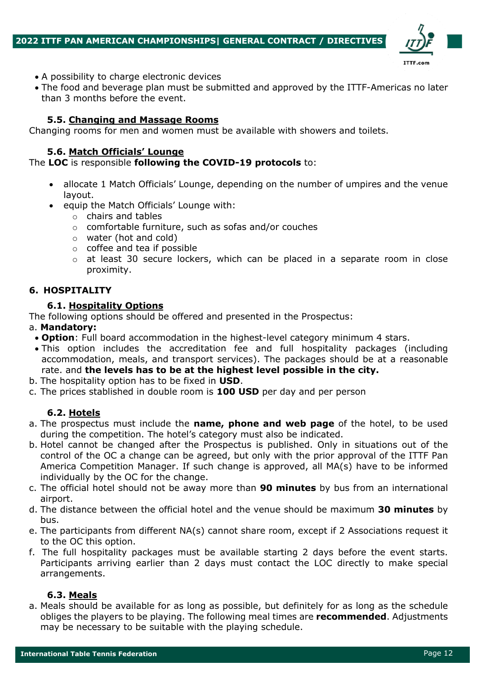

- A possibility to charge electronic devices
- The food and beverage plan must be submitted and approved by the ITTF-Americas no later than 3 months before the event.

### **5.5. Changing and Massage Rooms**

Changing rooms for men and women must be available with showers and toilets.

### **5.6. Match Officials' Lounge**

### The **LOC** is responsible **following the COVID-19 protocols** to:

- allocate 1 Match Officials' Lounge, depending on the number of umpires and the venue layout.
- equip the Match Officials' Lounge with:
	- o chairs and tables
	- o comfortable furniture, such as sofas and/or couches
	- o water (hot and cold)
	- o coffee and tea if possible
	- $\circ$  at least 30 secure lockers, which can be placed in a separate room in close proximity.

### **6. HOSPITALITY**

### **6.1. Hospitality Options**

The following options should be offered and presented in the Prospectus:

#### a. **Mandatory:**

- **Option**: Full board accommodation in the highest-level category minimum 4 stars.
- This option includes the accreditation fee and full hospitality packages (including accommodation, meals, and transport services). The packages should be at a reasonable rate. and **the levels has to be at the highest level possible in the city.**
- b. The hospitality option has to be fixed in **USD**.
- c. The prices stablished in double room is **100 USD** per day and per person

### **6.2. Hotels**

- a. The prospectus must include the **name, phone and web page** of the hotel, to be used during the competition. The hotel's category must also be indicated.
- b. Hotel cannot be changed after the Prospectus is published. Only in situations out of the control of the OC a change can be agreed, but only with the prior approval of the ITTF Pan America Competition Manager. If such change is approved, all MA(s) have to be informed individually by the OC for the change.
- c. The official hotel should not be away more than **90 minutes** by bus from an international airport.
- d. The distance between the official hotel and the venue should be maximum **30 minutes** by bus.
- e. The participants from different NA(s) cannot share room, except if 2 Associations request it to the OC this option.
- f. The full hospitality packages must be available starting 2 days before the event starts. Participants arriving earlier than 2 days must contact the LOC directly to make special arrangements.

## **6.3. Meals**

a. Meals should be available for as long as possible, but definitely for as long as the schedule obliges the players to be playing. The following meal times are **recommended**. Adjustments may be necessary to be suitable with the playing schedule.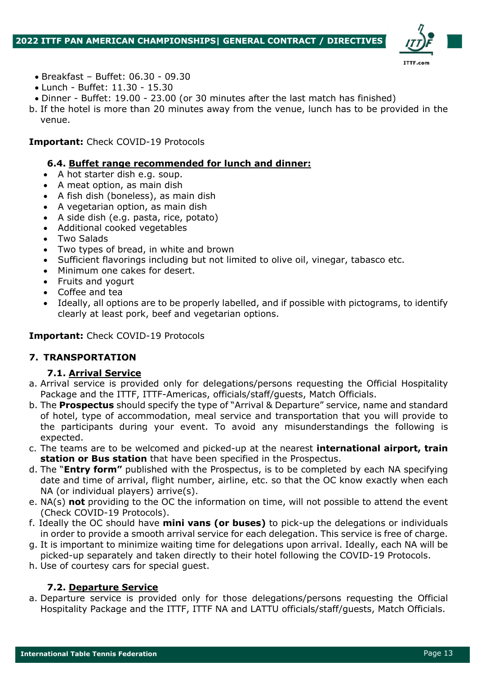

- Breakfast Buffet: 06.30 09.30
- Lunch Buffet: 11.30 15.30
- Dinner Buffet: 19.00 23.00 (or 30 minutes after the last match has finished)
- b. If the hotel is more than 20 minutes away from the venue, lunch has to be provided in the venue.

## **Important:** Check COVID-19 Protocols

### **6.4. Buffet range recommended for lunch and dinner:**

- A hot starter dish e.g. soup.
- A meat option, as main dish
- A fish dish (boneless), as main dish
- A vegetarian option, as main dish
- A side dish (e.g. pasta, rice, potato)
- Additional cooked vegetables
- Two Salads
- Two types of bread, in white and brown
- Sufficient flavorings including but not limited to olive oil, vinegar, tabasco etc.
- Minimum one cakes for desert.
- Fruits and yogurt
- Coffee and tea
- Ideally, all options are to be properly labelled, and if possible with pictograms, to identify clearly at least pork, beef and vegetarian options.

## **Important:** Check COVID-19 Protocols

## **7. TRANSPORTATION**

### **7.1. Arrival Service**

- a. Arrival service is provided only for delegations/persons requesting the Official Hospitality Package and the ITTF, ITTF-Americas, officials/staff/guests, Match Officials.
- b. The **Prospectus** should specify the type of "Arrival & Departure" service, name and standard of hotel, type of accommodation, meal service and transportation that you will provide to the participants during your event. To avoid any misunderstandings the following is expected.
- c. The teams are to be welcomed and picked-up at the nearest **international airport, train station or Bus station** that have been specified in the Prospectus.
- d. The "**Entry form"** published with the Prospectus, is to be completed by each NA specifying date and time of arrival, flight number, airline, etc. so that the OC know exactly when each NA (or individual players) arrive(s).
- e. NA(s) **not** providing to the OC the information on time, will not possible to attend the event (Check COVID-19 Protocols).
- f. Ideally the OC should have **mini vans (or buses)** to pick-up the delegations or individuals in order to provide a smooth arrival service for each delegation. This service is free of charge.
- g. It is important to minimize waiting time for delegations upon arrival. Ideally, each NA will be picked-up separately and taken directly to their hotel following the COVID-19 Protocols.
- h. Use of courtesy cars for special guest.

## **7.2. Departure Service**

a. Departure service is provided only for those delegations/persons requesting the Official Hospitality Package and the ITTF, ITTF NA and LATTU officials/staff/guests, Match Officials.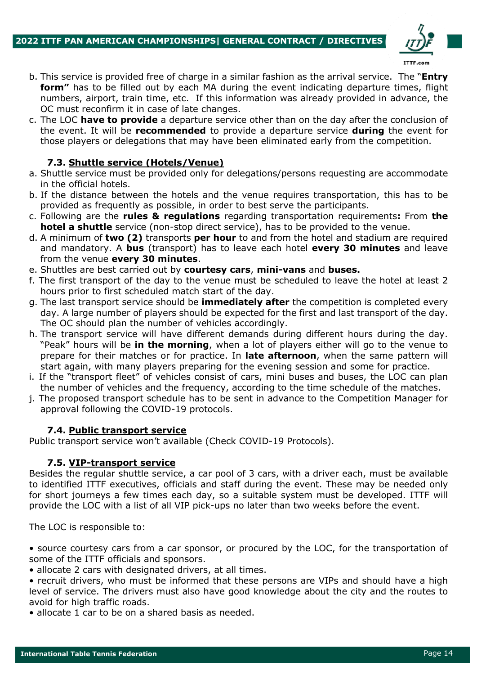

- b. This service is provided free of charge in a similar fashion as the arrival service. The "**Entry form"** has to be filled out by each MA during the event indicating departure times, flight numbers, airport, train time, etc. If this information was already provided in advance, the OC must reconfirm it in case of late changes.
- c. The LOC **have to provide** a departure service other than on the day after the conclusion of the event. It will be **recommended** to provide a departure service **during** the event for those players or delegations that may have been eliminated early from the competition.

# **7.3. Shuttle service (Hotels/Venue)**

- a. Shuttle service must be provided only for delegations/persons requesting are accommodate in the official hotels.
- b. If the distance between the hotels and the venue requires transportation, this has to be provided as frequently as possible, in order to best serve the participants.
- c. Following are the **rules & regulations** regarding transportation requirements**:** From **the hotel a shuttle** service (non-stop direct service), has to be provided to the venue.
- d. A minimum of **two (2)** transports **per hour** to and from the hotel and stadium are required and mandatory. A **bus** (transport) has to leave each hotel **every 30 minutes** and leave from the venue **every 30 minutes**.
- e. Shuttles are best carried out by **courtesy cars**, **mini-vans** and **buses.**
- f. The first transport of the day to the venue must be scheduled to leave the hotel at least 2 hours prior to first scheduled match start of the day.
- g. The last transport service should be **immediately after** the competition is completed every day. A large number of players should be expected for the first and last transport of the day. The OC should plan the number of vehicles accordingly.
- h. The transport service will have different demands during different hours during the day. "Peak" hours will be **in the morning**, when a lot of players either will go to the venue to prepare for their matches or for practice. In **late afternoon**, when the same pattern will start again, with many players preparing for the evening session and some for practice.
- i. If the "transport fleet" of vehicles consist of cars, mini buses and buses, the LOC can plan the number of vehicles and the frequency, according to the time schedule of the matches.
- j. The proposed transport schedule has to be sent in advance to the Competition Manager for approval following the COVID-19 protocols.

## **7.4. Public transport service**

Public transport service won't available (Check COVID-19 Protocols).

### **7.5. VIP-transport service**

Besides the regular shuttle service, a car pool of 3 cars, with a driver each, must be available to identified ITTF executives, officials and staff during the event. These may be needed only for short journeys a few times each day, so a suitable system must be developed. ITTF will provide the LOC with a list of all VIP pick-ups no later than two weeks before the event.

The LOC is responsible to:

• source courtesy cars from a car sponsor, or procured by the LOC, for the transportation of some of the ITTF officials and sponsors.

• allocate 2 cars with designated drivers, at all times.

• recruit drivers, who must be informed that these persons are VIPs and should have a high level of service. The drivers must also have good knowledge about the city and the routes to avoid for high traffic roads.

• allocate 1 car to be on a shared basis as needed.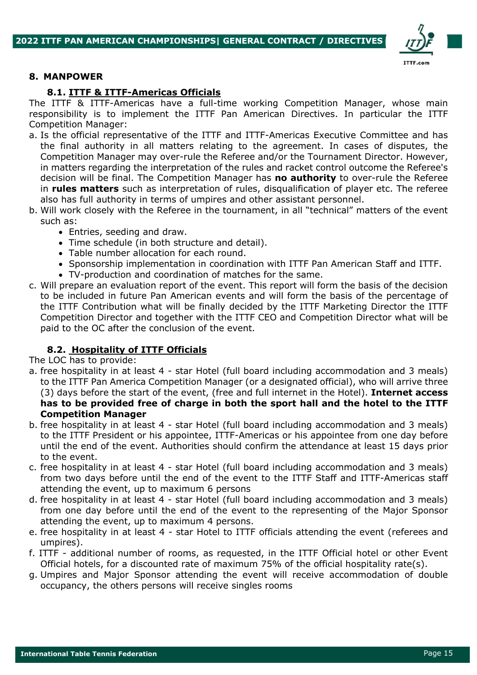

### **8. MANPOWER**

## **8.1. ITTF & ITTF-Americas Officials**

The ITTF & ITTF-Americas have a full-time working Competition Manager, whose main responsibility is to implement the ITTF Pan American Directives. In particular the ITTF Competition Manager:

- a. Is the official representative of the ITTF and ITTF-Americas Executive Committee and has the final authority in all matters relating to the agreement. In cases of disputes, the Competition Manager may over-rule the Referee and/or the Tournament Director. However, in matters regarding the interpretation of the rules and racket control outcome the Referee's decision will be final. The Competition Manager has **no authority** to over-rule the Referee in **rules matters** such as interpretation of rules, disqualification of player etc. The referee also has full authority in terms of umpires and other assistant personnel.
- b. Will work closely with the Referee in the tournament, in all "technical" matters of the event such as:
	- Entries, seeding and draw.
	- Time schedule (in both structure and detail).
	- Table number allocation for each round.
	- Sponsorship implementation in coordination with ITTF Pan American Staff and ITTF.
	- TV-production and coordination of matches for the same.
- c. Will prepare an evaluation report of the event. This report will form the basis of the decision to be included in future Pan American events and will form the basis of the percentage of the ITTF Contribution what will be finally decided by the ITTF Marketing Director the ITTF Competition Director and together with the ITTF CEO and Competition Director what will be paid to the OC after the conclusion of the event.

## **8.2. Hospitality of ITTF Officials**

The LOC has to provide:

- a. free hospitality in at least 4 star Hotel (full board including accommodation and 3 meals) to the ITTF Pan America Competition Manager (or a designated official), who will arrive three (3) days before the start of the event, (free and full internet in the Hotel). **Internet access has to be provided free of charge in both the sport hall and the hotel to the ITTF Competition Manager**
- b. free hospitality in at least 4 star Hotel (full board including accommodation and 3 meals) to the ITTF President or his appointee, ITTF-Americas or his appointee from one day before until the end of the event. Authorities should confirm the attendance at least 15 days prior to the event.
- c. free hospitality in at least 4 star Hotel (full board including accommodation and 3 meals) from two days before until the end of the event to the ITTF Staff and ITTF-Americas staff attending the event, up to maximum 6 persons
- d. free hospitality in at least 4 star Hotel (full board including accommodation and 3 meals) from one day before until the end of the event to the representing of the Major Sponsor attending the event, up to maximum 4 persons.
- e. free hospitality in at least 4 star Hotel to ITTF officials attending the event (referees and umpires).
- f. ITTF additional number of rooms, as requested, in the ITTF Official hotel or other Event Official hotels, for a discounted rate of maximum 75% of the official hospitality rate(s).
- g. Umpires and Major Sponsor attending the event will receive accommodation of double occupancy, the others persons will receive singles rooms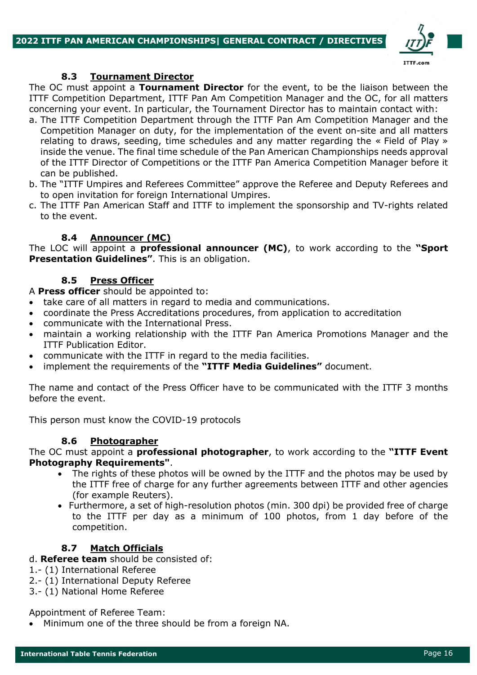

## **8.3 Tournament Director**

The OC must appoint a **Tournament Director** for the event, to be the liaison between the ITTF Competition Department, ITTF Pan Am Competition Manager and the OC, for all matters concerning your event. In particular, the Tournament Director has to maintain contact with:

- a. The ITTF Competition Department through the ITTF Pan Am Competition Manager and the Competition Manager on duty, for the implementation of the event on-site and all matters relating to draws, seeding, time schedules and any matter regarding the « Field of Play » inside the venue. The final time schedule of the Pan American Championships needs approval of the ITTF Director of Competitions or the ITTF Pan America Competition Manager before it can be published.
- b. The "ITTF Umpires and Referees Committee" approve the Referee and Deputy Referees and to open invitation for foreign International Umpires.
- c. The ITTF Pan American Staff and ITTF to implement the sponsorship and TV-rights related to the event.

## **8.4 Announcer (MC)**

The LOC will appoint a **professional announcer (MC)**, to work according to the **"Sport Presentation Guidelines"**. This is an obligation.

## **8.5 Press Officer**

A **Press officer** should be appointed to:

- take care of all matters in regard to media and communications.
- coordinate the Press Accreditations procedures, from application to accreditation
- communicate with the International Press.
- maintain a working relationship with the ITTF Pan America Promotions Manager and the ITTF Publication Editor.
- communicate with the ITTF in regard to the media facilities.
- implement the requirements of the **"ITTF Media Guidelines"** document.

The name and contact of the Press Officer have to be communicated with the ITTF 3 months before the event.

This person must know the COVID-19 protocols

## **8.6 Photographer**

The OC must appoint a **professional photographer**, to work according to the **"ITTF Event Photography Requirements"**.

- The rights of these photos will be owned by the ITTF and the photos may be used by the ITTF free of charge for any further agreements between ITTF and other agencies (for example Reuters).
- Furthermore, a set of high-resolution photos (min. 300 dpi) be provided free of charge to the ITTF per day as a minimum of 100 photos, from 1 day before of the competition.

## **8.7 Match Officials**

- d. **Referee team** should be consisted of:
- 1.- (1) International Referee
- 2.- (1) International Deputy Referee
- 3.- (1) National Home Referee

### Appointment of Referee Team:

• Minimum one of the three should be from a foreign NA.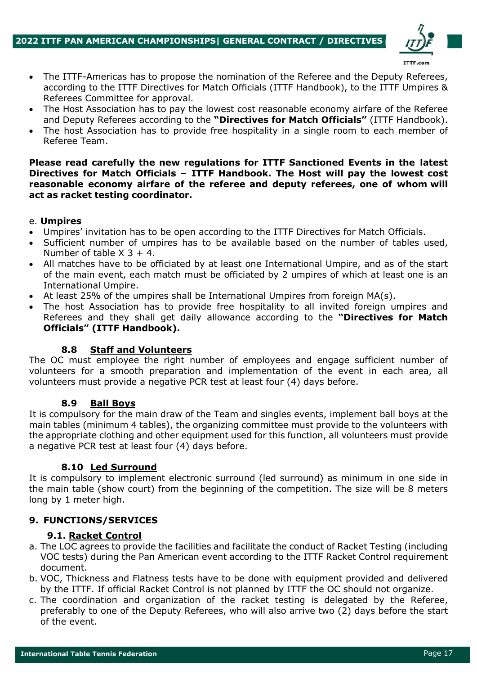

- The ITTF-Americas has to propose the nomination of the Referee and the Deputy Referees, according to the ITTF Directives for Match Officials (ITTF Handbook), to the ITTF Umpires & Referees Committee for approval.
- The Host Association has to pay the lowest cost reasonable economy airfare of the Referee and Deputy Referees according to the **"Directives for Match Officials"** (ITTF Handbook).
- The host Association has to provide free hospitality in a single room to each member of Referee Team.

### **Please read carefully the new regulations for ITTF Sanctioned Events in the latest Directives for Match Officials – ITTF Handbook. The Host will pay the lowest cost reasonable economy airfare of the referee and deputy referees, one of whom will act as racket testing coordinator.**

## e. **Umpires**

- Umpires' invitation has to be open according to the ITTF Directives for Match Officials.
- Sufficient number of umpires has to be available based on the number of tables used, Number of table  $X$  3 + 4.
- All matches have to be officiated by at least one International Umpire, and as of the start of the main event, each match must be officiated by 2 umpires of which at least one is an International Umpire.
- At least 25% of the umpires shall be International Umpires from foreign  $MA(s)$ .
- The host Association has to provide free hospitality to all invited foreign umpires and Referees and they shall get daily allowance according to the **"Directives for Match Officials" (ITTF Handbook).**

## **8.8 Staff and Volunteers**

The OC must employee the right number of employees and engage sufficient number of volunteers for a smooth preparation and implementation of the event in each area, all volunteers must provide a negative PCR test at least four (4) days before.

### **8.9 Ball Boys**

It is compulsory for the main draw of the Team and singles events, implement ball boys at the main tables (minimum 4 tables), the organizing committee must provide to the volunteers with the appropriate clothing and other equipment used for this function, all volunteers must provide a negative PCR test at least four (4) days before.

### **8.10 Led Surround**

It is compulsory to implement electronic surround (led surround) as minimum in one side in the main table (show court) from the beginning of the competition. The size will be 8 meters long by 1 meter high.

## **9. FUNCTIONS/SERVICES**

## **9.1. Racket Control**

- a. The LOC agrees to provide the facilities and facilitate the conduct of Racket Testing (including VOC tests) during the Pan American event according to the ITTF Racket Control requirement document.
- b. VOC, Thickness and Flatness tests have to be done with equipment provided and delivered by the ITTF. If official Racket Control is not planned by ITTF the OC should not organize.
- c. The coordination and organization of the racket testing is delegated by the Referee, preferably to one of the Deputy Referees, who will also arrive two (2) days before the start of the event.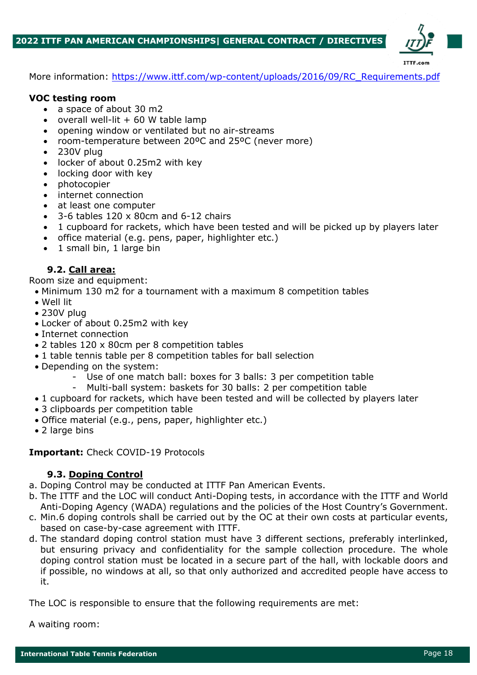

More information: https://www.ittf.com/wp-content/uploads/2016/09/RC\_Requirements.pdf

### **VOC testing room**

- a space of about 30 m2
- overall well-lit  $+60$  W table lamp
- opening window or ventilated but no air-streams
- room-temperature between 20ºC and 25ºC (never more)
- 230V plug
- locker of about 0.25m2 with key
- locking door with key
- photocopier
- internet connection
- at least one computer
- 3-6 tables 120 x 80cm and 6-12 chairs
- 1 cupboard for rackets, which have been tested and will be picked up by players later
- office material (e.g. pens, paper, highlighter etc.)
- 1 small bin, 1 large bin

## **9.2. Call area:**

Room size and equipment:

- Minimum 130 m2 for a tournament with a maximum 8 competition tables
- Well lit
- 230V plug
- Locker of about 0.25m2 with key
- Internet connection
- 2 tables 120 x 80cm per 8 competition tables
- 1 table tennis table per 8 competition tables for ball selection
- Depending on the system:
	- Use of one match ball: boxes for 3 balls: 3 per competition table
	- Multi-ball system: baskets for 30 balls: 2 per competition table
- 1 cupboard for rackets, which have been tested and will be collected by players later
- 3 clipboards per competition table
- Office material (e.g., pens, paper, highlighter etc.)
- 2 large bins

### **Important:** Check COVID-19 Protocols

## **9.3. Doping Control**

- a. Doping Control may be conducted at ITTF Pan American Events.
- b. The ITTF and the LOC will conduct Anti-Doping tests, in accordance with the ITTF and World Anti-Doping Agency (WADA) regulations and the policies of the Host Country's Government.
- c. Min.6 doping controls shall be carried out by the OC at their own costs at particular events, based on case-by-case agreement with ITTF.
- d. The standard doping control station must have 3 different sections, preferably interlinked, but ensuring privacy and confidentiality for the sample collection procedure. The whole doping control station must be located in a secure part of the hall, with lockable doors and if possible, no windows at all, so that only authorized and accredited people have access to it.

The LOC is responsible to ensure that the following requirements are met:

A waiting room: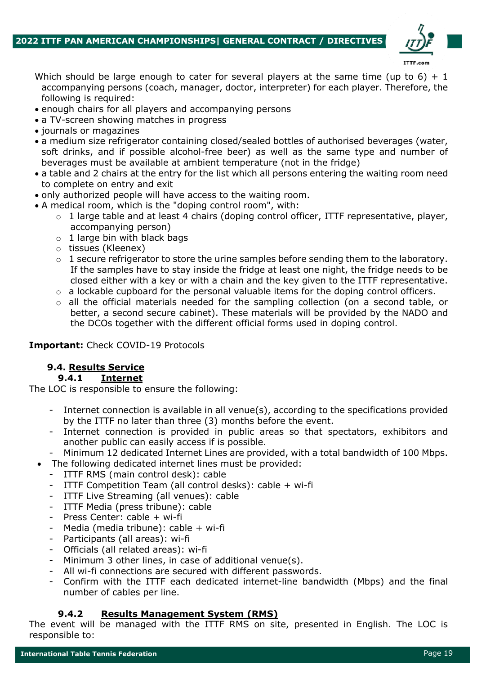

- Which should be large enough to cater for several players at the same time (up to 6) + 1 accompanying persons (coach, manager, doctor, interpreter) for each player. Therefore, the following is required:
- enough chairs for all players and accompanying persons
- a TV-screen showing matches in progress
- journals or magazines
- a medium size refrigerator containing closed/sealed bottles of authorised beverages (water, soft drinks, and if possible alcohol-free beer) as well as the same type and number of beverages must be available at ambient temperature (not in the fridge)
- a table and 2 chairs at the entry for the list which all persons entering the waiting room need to complete on entry and exit
- only authorized people will have access to the waiting room.
- A medical room, which is the "doping control room", with:
	- $\circ$  1 large table and at least 4 chairs (doping control officer, ITTF representative, player, accompanying person)
	- $\circ$  1 large bin with black bags
	- o tissues (Kleenex)
	- o 1 secure refrigerator to store the urine samples before sending them to the laboratory. If the samples have to stay inside the fridge at least one night, the fridge needs to be closed either with a key or with a chain and the key given to the ITTF representative.
	- o a lockable cupboard for the personal valuable items for the doping control officers.
	- o all the official materials needed for the sampling collection (on a second table, or better, a second secure cabinet). These materials will be provided by the NADO and the DCOs together with the different official forms used in doping control.

## **Important:** Check COVID-19 Protocols

# **9.4. Results Service**

### **9.4.1 Internet**

The LOC is responsible to ensure the following:

- Internet connection is available in all venue(s), according to the specifications provided by the ITTF no later than three (3) months before the event.
- Internet connection is provided in public areas so that spectators, exhibitors and another public can easily access if is possible.
- Minimum 12 dedicated Internet Lines are provided, with a total bandwidth of 100 Mbps.
- The following dedicated internet lines must be provided:
	- ITTF RMS (main control desk): cable
	- ITTF Competition Team (all control desks): cable + wi-fi
	- ITTF Live Streaming (all venues): cable
	- ITTF Media (press tribune): cable
	- Press Center: cable + wi-fi
	- Media (media tribune): cable + wi-fi
	- Participants (all areas): wi-fi
	- Officials (all related areas): wi-fi
	- Minimum 3 other lines, in case of additional venue(s).
	- All wi-fi connections are secured with different passwords.
	- Confirm with the ITTF each dedicated internet-line bandwidth (Mbps) and the final number of cables per line.

## **9.4.2 Results Management System (RMS)**

The event will be managed with the ITTF RMS on site, presented in English. The LOC is responsible to: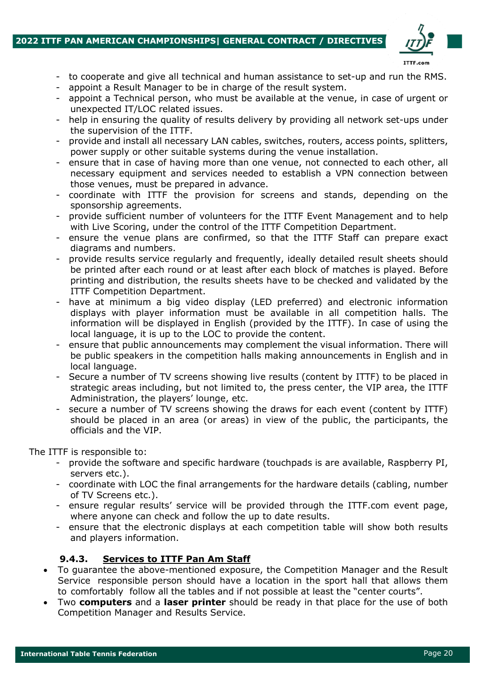### **2022 ITTF PAN AMERICAN CHAMPIONSHIPS| GENERAL CONTRACT / DIRECTIVES**



- to cooperate and give all technical and human assistance to set-up and run the RMS.
- appoint a Result Manager to be in charge of the result system.
- appoint a Technical person, who must be available at the venue, in case of urgent or unexpected IT/LOC related issues.
- help in ensuring the quality of results delivery by providing all network set-ups under the supervision of the ITTF.
- provide and install all necessary LAN cables, switches, routers, access points, splitters, power supply or other suitable systems during the venue installation.
- ensure that in case of having more than one venue, not connected to each other, all necessary equipment and services needed to establish a VPN connection between those venues, must be prepared in advance.
- coordinate with ITTF the provision for screens and stands, depending on the sponsorship agreements.
- provide sufficient number of volunteers for the ITTF Event Management and to help with Live Scoring, under the control of the ITTF Competition Department.
- ensure the venue plans are confirmed, so that the ITTF Staff can prepare exact diagrams and numbers.
- provide results service regularly and frequently, ideally detailed result sheets should be printed after each round or at least after each block of matches is played. Before printing and distribution, the results sheets have to be checked and validated by the ITTF Competition Department.
- have at minimum a big video display (LED preferred) and electronic information displays with player information must be available in all competition halls. The information will be displayed in English (provided by the ITTF). In case of using the local language, it is up to the LOC to provide the content.
- ensure that public announcements may complement the visual information. There will be public speakers in the competition halls making announcements in English and in local language.
- Secure a number of TV screens showing live results (content by ITTF) to be placed in strategic areas including, but not limited to, the press center, the VIP area, the ITTF Administration, the players' lounge, etc.
- secure a number of TV screens showing the draws for each event (content by ITTF) should be placed in an area (or areas) in view of the public, the participants, the officials and the VIP.

The ITTF is responsible to:

- provide the software and specific hardware (touchpads is are available, Raspberry PI, servers etc.).
- coordinate with LOC the final arrangements for the hardware details (cabling, number of TV Screens etc.).
- ensure regular results' service will be provided through the ITTF.com event page, where anyone can check and follow the up to date results.
- ensure that the electronic displays at each competition table will show both results and players information.

## **9.4.3. Services to ITTF Pan Am Staff**

- To guarantee the above-mentioned exposure, the Competition Manager and the Result Service responsible person should have a location in the sport hall that allows them to comfortably follow all the tables and if not possible at least the "center courts".
- Two **computers** and a **laser printer** should be ready in that place for the use of both Competition Manager and Results Service.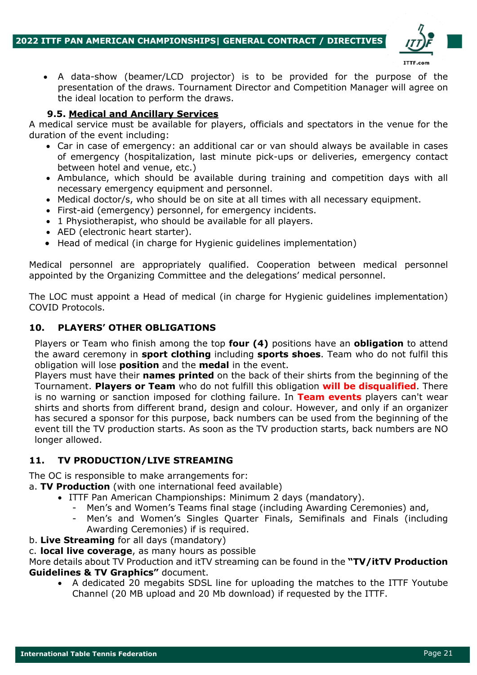

• A data-show (beamer/LCD projector) is to be provided for the purpose of the presentation of the draws. Tournament Director and Competition Manager will agree on the ideal location to perform the draws.

# **9.5. Medical and Ancillary Services**

A medical service must be available for players, officials and spectators in the venue for the duration of the event including:

- Car in case of emergency: an additional car or van should always be available in cases of emergency (hospitalization, last minute pick-ups or deliveries, emergency contact between hotel and venue, etc.)
- Ambulance, which should be available during training and competition days with all necessary emergency equipment and personnel.
- Medical doctor/s, who should be on site at all times with all necessary equipment.
- First-aid (emergency) personnel, for emergency incidents.
- 1 Physiotherapist, who should be available for all players.
- AED (electronic heart starter).
- Head of medical (in charge for Hygienic guidelines implementation)

Medical personnel are appropriately qualified. Cooperation between medical personnel appointed by the Organizing Committee and the delegations' medical personnel.

The LOC must appoint a Head of medical (in charge for Hygienic guidelines implementation) COVID Protocols.

# **10. PLAYERS' OTHER OBLIGATIONS**

Players or Team who finish among the top **four (4)** positions have an **obligation** to attend the award ceremony in **sport clothing** including **sports shoes**. Team who do not fulfil this obligation will lose **position** and the **medal** in the event.

Players must have their **names printed** on the back of their shirts from the beginning of the Tournament. **Players or Team** who do not fulfill this obligation **will be disqualified**. There is no warning or sanction imposed for clothing failure. In **Team events** players can't wear shirts and shorts from different brand, design and colour. However, and only if an organizer has secured a sponsor for this purpose, back numbers can be used from the beginning of the event till the TV production starts. As soon as the TV production starts, back numbers are NO longer allowed.

# **11. TV PRODUCTION/LIVE STREAMING**

The OC is responsible to make arrangements for:

a. **TV Production** (with one international feed available)

- ITTF Pan American Championships: Minimum 2 days (mandatory).
	- Men's and Women's Teams final stage (including Awarding Ceremonies) and,
	- Men's and Women's Singles Quarter Finals, Semifinals and Finals (including Awarding Ceremonies) if is required.
- b. **Live Streaming** for all days (mandatory)

c. **local live coverage**, as many hours as possible

More details about TV Production and itTV streaming can be found in the **"TV/itTV Production Guidelines & TV Graphics"** document.

• A dedicated 20 megabits SDSL line for uploading the matches to the ITTF Youtube Channel (20 MB upload and 20 Mb download) if requested by the ITTF.